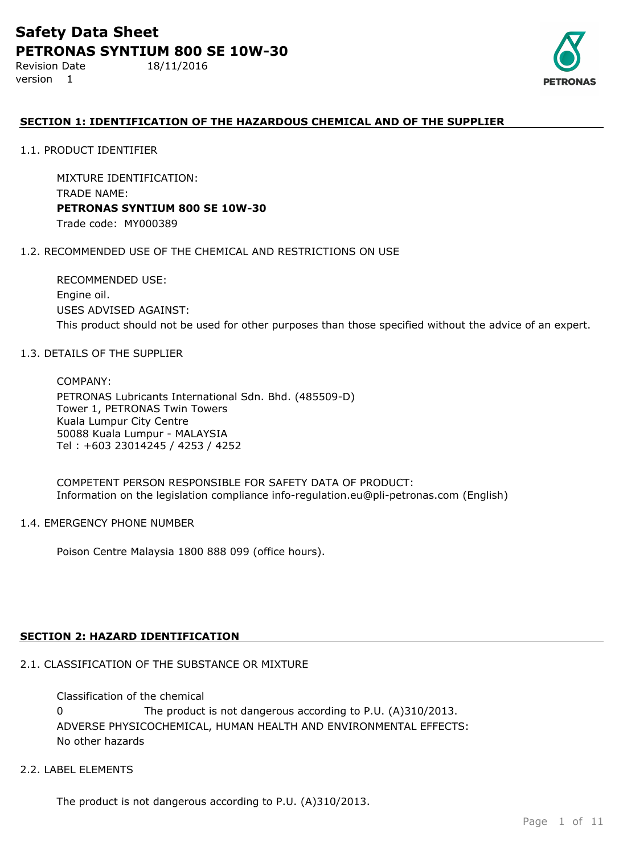Revision Date 18/11/2016 version 1



## **SECTION 1: IDENTIFICATION OF THE HAZARDOUS CHEMICAL AND OF THE SUPPLIER**

1.1. PRODUCT IDENTIFIER

MIXTURE IDENTIFICATION: TRADE NAME: **PETRONAS SYNTIUM 800 SE 10W-30** Trade code: MY000389

#### 1.2. RECOMMENDED USE OF THE CHEMICAL AND RESTRICTIONS ON USE

RECOMMENDED USE: Engine oil. USES ADVISED AGAINST: This product should not be used for other purposes than those specified without the advice of an expert.

#### 1.3. DETAILS OF THE SUPPLIER

COMPANY: PETRONAS Lubricants International Sdn. Bhd. (485509-D) Tower 1, PETRONAS Twin Towers Kuala Lumpur City Centre 50088 Kuala Lumpur - MALAYSIA Tel : +603 23014245 / 4253 / 4252

COMPETENT PERSON RESPONSIBLE FOR SAFETY DATA OF PRODUCT: Information on the legislation compliance info-regulation.eu@pli-petronas.com (English)

#### 1.4. EMERGENCY PHONE NUMBER

Poison Centre Malaysia 1800 888 099 (office hours).

#### **SECTION 2: HAZARD IDENTIFICATION**

## 2.1. CLASSIFICATION OF THE SUBSTANCE OR MIXTURE

ADVERSE PHYSICOCHEMICAL, HUMAN HEALTH AND ENVIRONMENTAL EFFECTS: No other hazards Classification of the chemical 0 The product is not dangerous according to P.U. (A)310/2013.

## 2.2. LABEL ELEMENTS

The product is not dangerous according to P.U. (A)310/2013.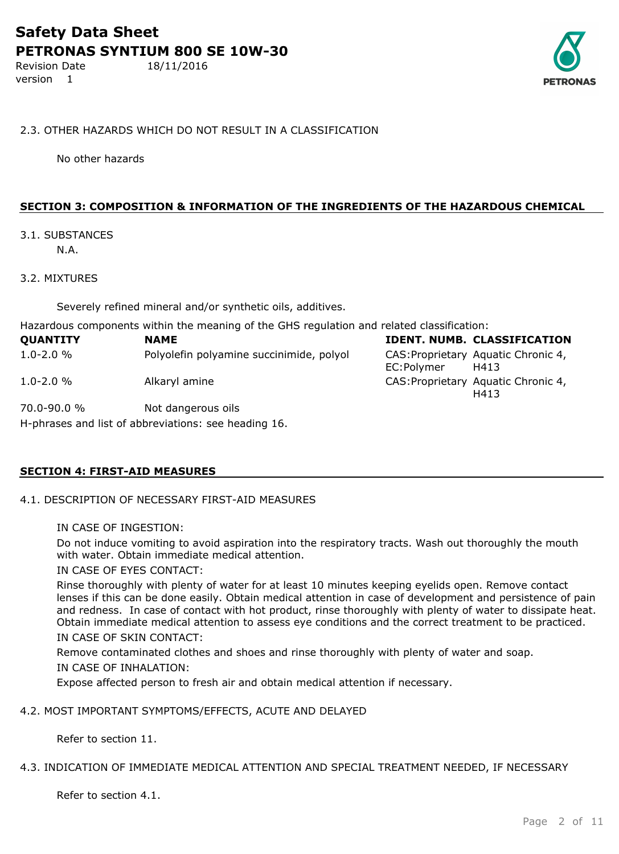Revision Date 18/11/2016 version 1



#### 2.3. OTHER HAZARDS WHICH DO NOT RESULT IN A CLASSIFICATION

No other hazards

## **SECTION 3: COMPOSITION & INFORMATION OF THE INGREDIENTS OF THE HAZARDOUS CHEMICAL**

## 3.1. SUBSTANCES

N.A.

## 3.2. MIXTURES

Severely refined mineral and/or synthetic oils, additives.

Hazardous components within the meaning of the GHS regulation and related classification:

| <b>QUANTITY</b> | <b>NAME</b>                              |            | IDENT. NUMB. CLASSIFICATION                 |
|-----------------|------------------------------------------|------------|---------------------------------------------|
| $1.0 - 2.0 \%$  | Polyolefin polyamine succinimide, polyol | EC:Polymer | CAS: Proprietary Aquatic Chronic 4,<br>H413 |
| $1.0 - 2.0 %$   | Alkaryl amine                            |            | CAS: Proprietary Aquatic Chronic 4,<br>H413 |
| 70.0-90.0 %     | Not dangerous oils                       |            |                                             |

H-phrases and list of abbreviations: see heading 16.

## **SECTION 4: FIRST-AID MEASURES**

## 4.1. DESCRIPTION OF NECESSARY FIRST-AID MEASURES

IN CASE OF INGESTION:

Do not induce vomiting to avoid aspiration into the respiratory tracts. Wash out thoroughly the mouth with water. Obtain immediate medical attention.

IN CASE OF EYES CONTACT:

Rinse thoroughly with plenty of water for at least 10 minutes keeping eyelids open. Remove contact lenses if this can be done easily. Obtain medical attention in case of development and persistence of pain and redness. In case of contact with hot product, rinse thoroughly with plenty of water to dissipate heat. Obtain immediate medical attention to assess eye conditions and the correct treatment to be practiced. IN CASE OF SKIN CONTACT:

Remove contaminated clothes and shoes and rinse thoroughly with plenty of water and soap.

## IN CASE OF INHALATION:

Expose affected person to fresh air and obtain medical attention if necessary.

## 4.2. MOST IMPORTANT SYMPTOMS/EFFECTS, ACUTE AND DELAYED

Refer to section 11.

#### 4.3. INDICATION OF IMMEDIATE MEDICAL ATTENTION AND SPECIAL TREATMENT NEEDED, IF NECESSARY

Refer to section 4.1.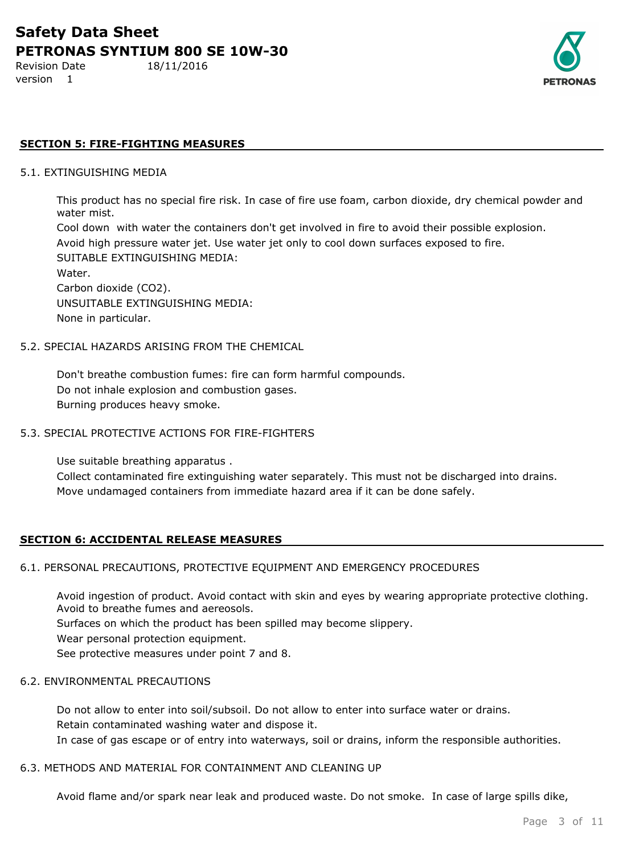version 1

Revision Date 18/11/2016



## **SECTION 5: FIRE-FIGHTING MEASURES**

#### 5.1. EXTINGUISHING MEDIA

This product has no special fire risk. In case of fire use foam, carbon dioxide, dry chemical powder and water mist.

Cool down with water the containers don't get involved in fire to avoid their possible explosion. Avoid high pressure water jet. Use water jet only to cool down surfaces exposed to fire. SUITABLE EXTINGUISHING MEDIA: Water.

Carbon dioxide (CO2). UNSUITABLE EXTINGUISHING MEDIA: None in particular.

#### 5.2. SPECIAL HAZARDS ARISING FROM THE CHEMICAL

Don't breathe combustion fumes: fire can form harmful compounds. Do not inhale explosion and combustion gases. Burning produces heavy smoke.

#### 5.3. SPECIAL PROTECTIVE ACTIONS FOR FIRE-FIGHTERS

Use suitable breathing apparatus .

Collect contaminated fire extinguishing water separately. This must not be discharged into drains. Move undamaged containers from immediate hazard area if it can be done safely.

#### **SECTION 6: ACCIDENTAL RELEASE MEASURES**

#### 6.1. PERSONAL PRECAUTIONS, PROTECTIVE EQUIPMENT AND EMERGENCY PROCEDURES

Avoid ingestion of product. Avoid contact with skin and eyes by wearing appropriate protective clothing. Avoid to breathe fumes and aereosols.

Surfaces on which the product has been spilled may become slippery.

Wear personal protection equipment.

See protective measures under point 7 and 8.

#### 6.2. ENVIRONMENTAL PRECAUTIONS

Do not allow to enter into soil/subsoil. Do not allow to enter into surface water or drains. Retain contaminated washing water and dispose it. In case of gas escape or of entry into waterways, soil or drains, inform the responsible authorities.

#### 6.3. METHODS AND MATERIAL FOR CONTAINMENT AND CLEANING UP

Avoid flame and/or spark near leak and produced waste. Do not smoke. In case of large spills dike,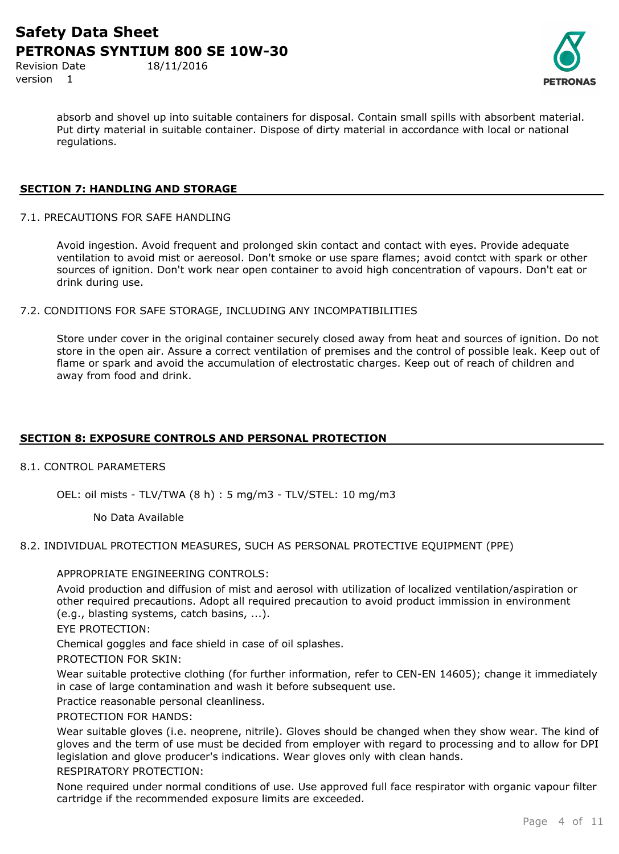Revision Date 18/11/2016 version 1

absorb and shovel up into suitable containers for disposal. Contain small spills with absorbent material. Put dirty material in suitable container. Dispose of dirty material in accordance with local or national regulations.

## **SECTION 7: HANDLING AND STORAGE**

7.1. PRECAUTIONS FOR SAFE HANDLING

Avoid ingestion. Avoid frequent and prolonged skin contact and contact with eyes. Provide adequate ventilation to avoid mist or aereosol. Don't smoke or use spare flames; avoid contct with spark or other sources of ignition. Don't work near open container to avoid high concentration of vapours. Don't eat or drink during use.

7.2. CONDITIONS FOR SAFE STORAGE, INCLUDING ANY INCOMPATIBILITIES

Store under cover in the original container securely closed away from heat and sources of ignition. Do not store in the open air. Assure a correct ventilation of premises and the control of possible leak. Keep out of flame or spark and avoid the accumulation of electrostatic charges. Keep out of reach of children and away from food and drink.

## **SECTION 8: EXPOSURE CONTROLS AND PERSONAL PROTECTION**

8.1. CONTROL PARAMETERS

OEL: oil mists - TLV/TWA (8 h) : 5 mg/m3 - TLV/STEL: 10 mg/m3

No Data Available

#### 8.2. INDIVIDUAL PROTECTION MEASURES, SUCH AS PERSONAL PROTECTIVE EQUIPMENT (PPE)

#### APPROPRIATE ENGINEERING CONTROLS:

Avoid production and diffusion of mist and aerosol with utilization of localized ventilation/aspiration or other required precautions. Adopt all required precaution to avoid product immission in environment (e.g., blasting systems, catch basins, ...).

EYE PROTECTION:

Chemical goggles and face shield in case of oil splashes.

PROTECTION FOR SKIN:

Wear suitable protective clothing (for further information, refer to CEN-EN 14605); change it immediately in case of large contamination and wash it before subsequent use.

Practice reasonable personal cleanliness.

PROTECTION FOR HANDS:

Wear suitable gloves (i.e. neoprene, nitrile). Gloves should be changed when they show wear. The kind of gloves and the term of use must be decided from employer with regard to processing and to allow for DPI legislation and glove producer's indications. Wear gloves only with clean hands.

## RESPIRATORY PROTECTION:

None required under normal conditions of use. Use approved full face respirator with organic vapour filter cartridge if the recommended exposure limits are exceeded.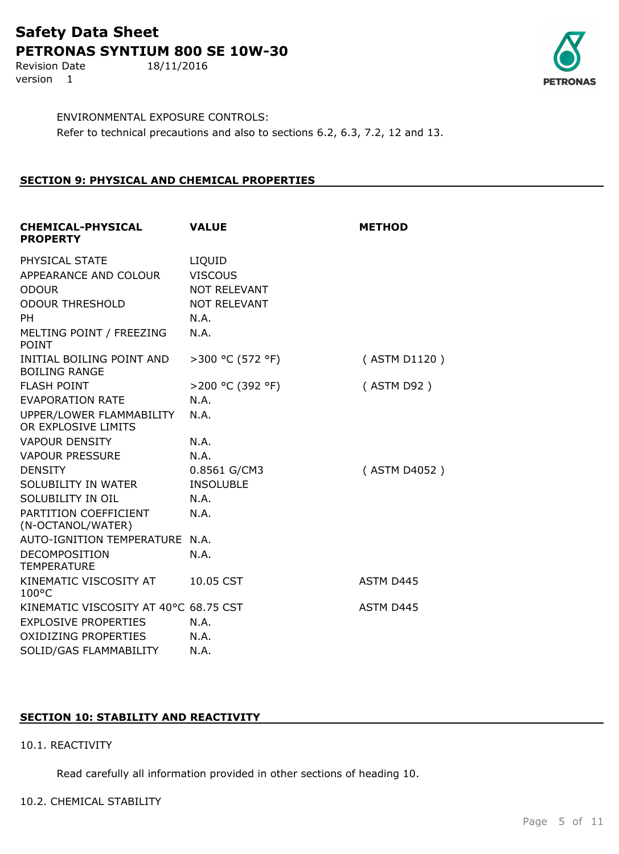Revision Date 18/11/2016 version 1



ENVIRONMENTAL EXPOSURE CONTROLS: Refer to technical precautions and also to sections 6.2, 6.3, 7.2, 12 and 13.

## **SECTION 9: PHYSICAL AND CHEMICAL PROPERTIES**

| <b>CHEMICAL-PHYSICAL</b><br><b>PROPERTY</b>       | <b>VALUE</b>        | <b>METHOD</b> |
|---------------------------------------------------|---------------------|---------------|
| PHYSICAL STATE                                    | LIQUID              |               |
| APPEARANCE AND COLOUR                             | <b>VISCOUS</b>      |               |
| <b>ODOUR</b>                                      | NOT RELEVANT        |               |
| <b>ODOUR THRESHOLD</b>                            | <b>NOT RELEVANT</b> |               |
| <b>PH</b>                                         | N.A.                |               |
| MELTING POINT / FREEZING<br><b>POINT</b>          | N.A.                |               |
| INITIAL BOILING POINT AND<br><b>BOILING RANGE</b> | >300 °C (572 °F)    | (ASTM D1120)  |
| <b>FLASH POINT</b>                                | >200 °C (392 °F)    | (ASTM D92)    |
| <b>EVAPORATION RATE</b>                           | N.A.                |               |
| UPPER/LOWER FLAMMABILITY<br>OR EXPLOSIVE LIMITS   | N.A.                |               |
| <b>VAPOUR DENSITY</b>                             | N.A.                |               |
| <b>VAPOUR PRESSURE</b>                            | N.A.                |               |
| <b>DENSITY</b>                                    | 0.8561 G/CM3        | (ASTM D4052)  |
| SOLUBILITY IN WATER                               | <b>INSOLUBLE</b>    |               |
| SOLUBILITY IN OIL                                 | N.A.                |               |
| PARTITION COEFFICIENT<br>(N-OCTANOL/WATER)        | N.A.                |               |
| AUTO-IGNITION TEMPERATURE N.A.                    |                     |               |
| DECOMPOSITION<br><b>TEMPERATURE</b>               | N.A.                |               |
| KINEMATIC VISCOSITY AT<br>$100^{\circ}$ C         | 10.05 CST           | ASTM D445     |
| KINEMATIC VISCOSITY AT 40°C 68.75 CST             |                     | ASTM D445     |
| <b>EXPLOSIVE PROPERTIES</b>                       | N.A.                |               |
| <b>OXIDIZING PROPERTIES</b>                       | N.A.                |               |
| SOLID/GAS FLAMMABILITY                            | N.A.                |               |

## **SECTION 10: STABILITY AND REACTIVITY**

#### 10.1. REACTIVITY

Read carefully all information provided in other sections of heading 10.

#### 10.2. CHEMICAL STABILITY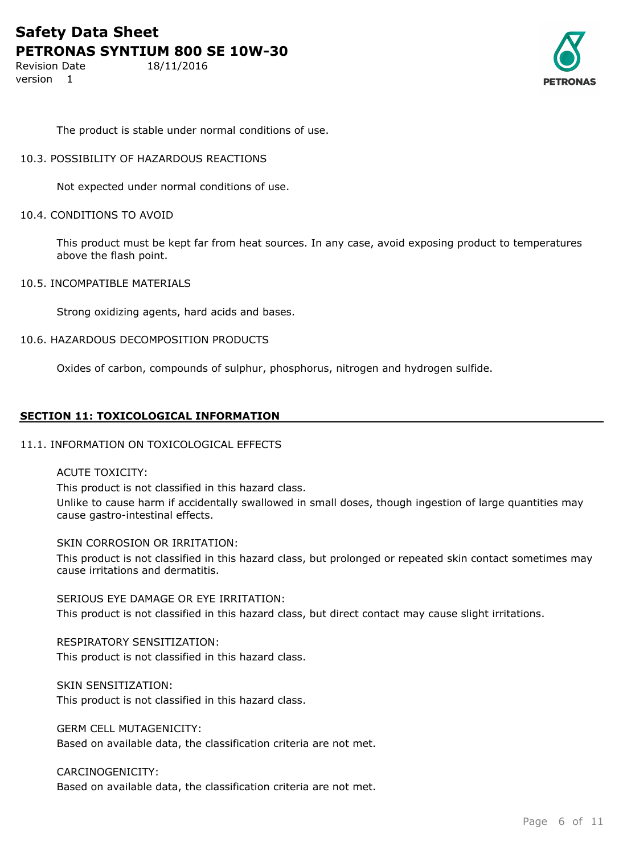Revision Date 18/11/2016 version 1



The product is stable under normal conditions of use.

#### 10.3. POSSIBILITY OF HAZARDOUS REACTIONS

Not expected under normal conditions of use.

#### 10.4. CONDITIONS TO AVOID

This product must be kept far from heat sources. In any case, avoid exposing product to temperatures above the flash point.

10.5. INCOMPATIBLE MATERIALS

Strong oxidizing agents, hard acids and bases.

## 10.6. HAZARDOUS DECOMPOSITION PRODUCTS

Oxides of carbon, compounds of sulphur, phosphorus, nitrogen and hydrogen sulfide.

## **SECTION 11: TOXICOLOGICAL INFORMATION**

#### 11.1. INFORMATION ON TOXICOLOGICAL EFFECTS

#### ACUTE TOXICITY:

This product is not classified in this hazard class.

Unlike to cause harm if accidentally swallowed in small doses, though ingestion of large quantities may cause gastro-intestinal effects.

#### SKIN CORROSION OR IRRITATION:

This product is not classified in this hazard class, but prolonged or repeated skin contact sometimes may cause irritations and dermatitis.

SERIOUS EYE DAMAGE OR EYE IRRITATION: This product is not classified in this hazard class, but direct contact may cause slight irritations.

## RESPIRATORY SENSITIZATION:

This product is not classified in this hazard class.

## SKIN SENSITIZATION:

This product is not classified in this hazard class.

GERM CELL MUTAGENICITY:

Based on available data, the classification criteria are not met.

## CARCINOGENICITY:

Based on available data, the classification criteria are not met.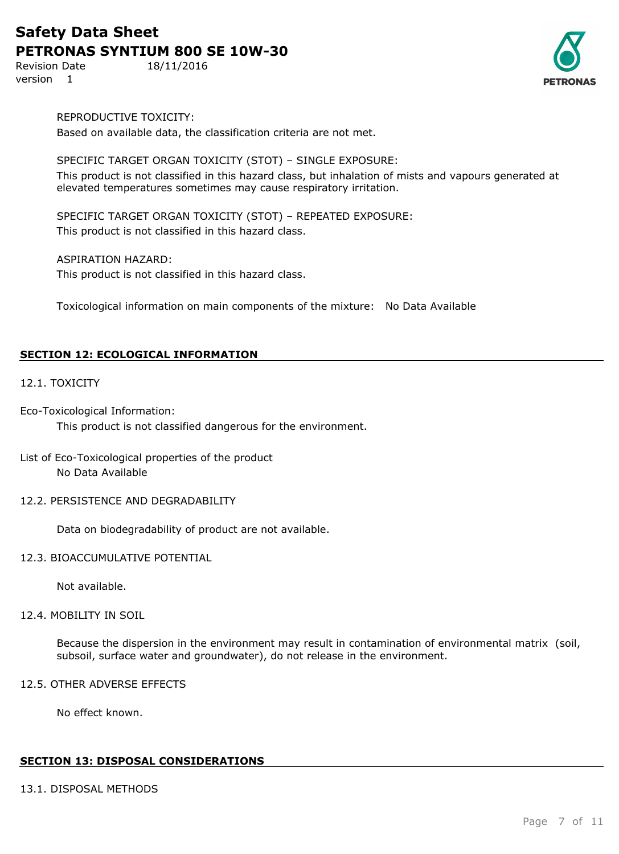Revision Date 18/11/2016 version 1



REPRODUCTIVE TOXICITY:

Based on available data, the classification criteria are not met.

## SPECIFIC TARGET ORGAN TOXICITY (STOT) – SINGLE EXPOSURE:

This product is not classified in this hazard class, but inhalation of mists and vapours generated at elevated temperatures sometimes may cause respiratory irritation.

SPECIFIC TARGET ORGAN TOXICITY (STOT) – REPEATED EXPOSURE: This product is not classified in this hazard class.

ASPIRATION HAZARD:

This product is not classified in this hazard class.

Toxicological information on main components of the mixture: No Data Available

## **SECTION 12: ECOLOGICAL INFORMATION**

## 12.1. TOXICITY

Eco-Toxicological Information: This product is not classified dangerous for the environment.

## List of Eco-Toxicological properties of the product No Data Available

12.2. PERSISTENCE AND DEGRADABILITY

Data on biodegradability of product are not available.

#### 12.3. BIOACCUMULATIVE POTENTIAL

Not available.

#### 12.4. MOBILITY IN SOIL

Because the dispersion in the environment may result in contamination of environmental matrix (soil, subsoil, surface water and groundwater), do not release in the environment.

## 12.5. OTHER ADVERSE EFFECTS

No effect known.

#### **SECTION 13: DISPOSAL CONSIDERATIONS**

#### 13.1. DISPOSAL METHODS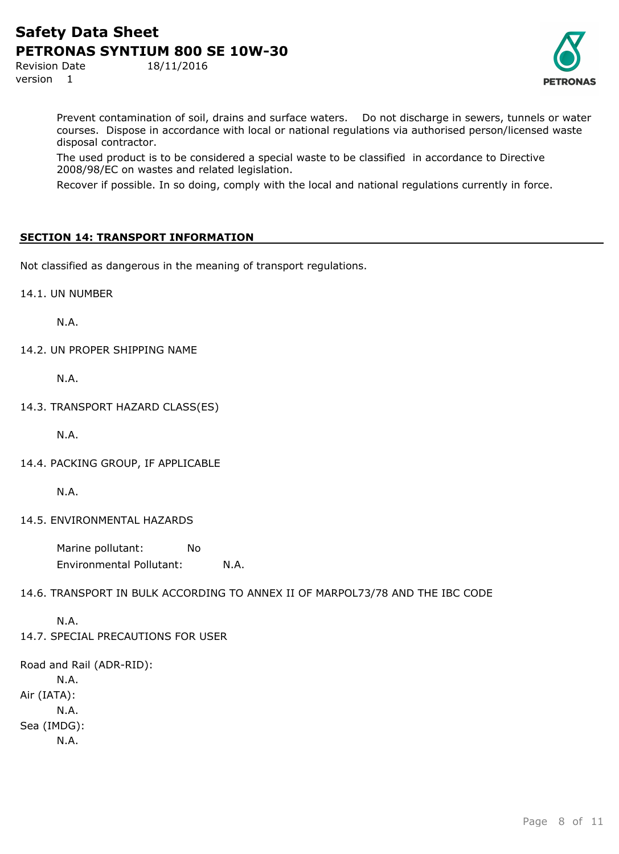Revision Date 18/11/2016 version 1



Prevent contamination of soil, drains and surface waters. Do not discharge in sewers, tunnels or water courses. Dispose in accordance with local or national regulations via authorised person/licensed waste disposal contractor.

The used product is to be considered a special waste to be classified in accordance to Directive 2008/98/EC on wastes and related legislation.

Recover if possible. In so doing, comply with the local and national regulations currently in force.

## **SECTION 14: TRANSPORT INFORMATION**

Not classified as dangerous in the meaning of transport regulations.

14.1. UN NUMBER

N.A.

14.2. UN PROPER SHIPPING NAME

N.A.

14.3. TRANSPORT HAZARD CLASS(ES)

N.A.

14.4. PACKING GROUP, IF APPLICABLE

N.A.

14.5. ENVIRONMENTAL HAZARDS

Marine pollutant: No Environmental Pollutant: N.A.

14.6. TRANSPORT IN BULK ACCORDING TO ANNEX II OF MARPOL73/78 AND THE IBC CODE

N.A. 14.7. SPECIAL PRECAUTIONS FOR USER

Road and Rail (ADR-RID): N.A. Air (IATA): N.A. Sea (IMDG): N.A.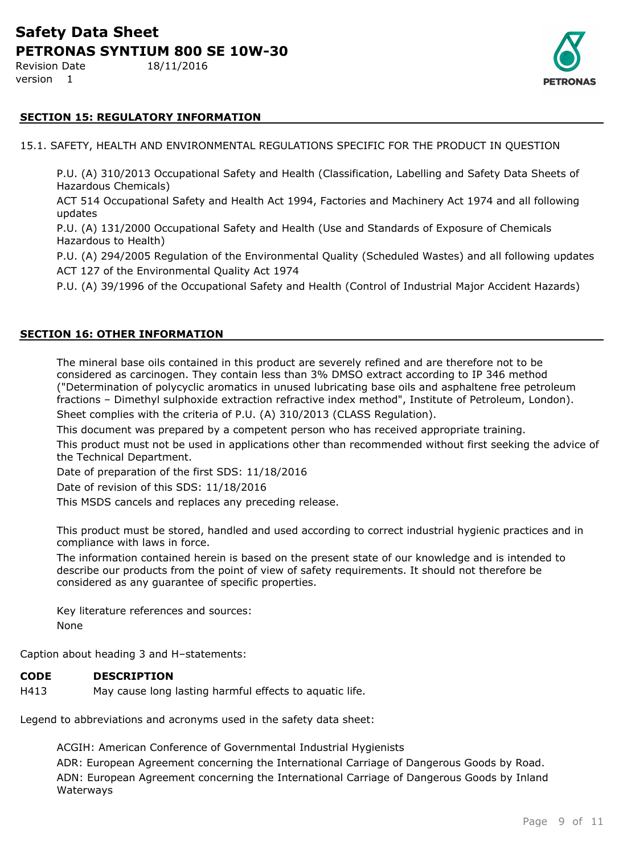Revision Date 18/11/2016 version 1



## **SECTION 15: REGULATORY INFORMATION**

15.1. SAFETY, HEALTH AND ENVIRONMENTAL REGULATIONS SPECIFIC FOR THE PRODUCT IN QUESTION

P.U. (A) 310/2013 Occupational Safety and Health (Classification, Labelling and Safety Data Sheets of Hazardous Chemicals)

ACT 514 Occupational Safety and Health Act 1994, Factories and Machinery Act 1974 and all following updates

P.U. (A) 131/2000 Occupational Safety and Health (Use and Standards of Exposure of Chemicals Hazardous to Health)

P.U. (A) 294/2005 Regulation of the Environmental Quality (Scheduled Wastes) and all following updates ACT 127 of the Environmental Quality Act 1974

P.U. (A) 39/1996 of the Occupational Safety and Health (Control of Industrial Major Accident Hazards)

#### **SECTION 16: OTHER INFORMATION**

The mineral base oils contained in this product are severely refined and are therefore not to be considered as carcinogen. They contain less than 3% DMSO extract according to IP 346 method ("Determination of polycyclic aromatics in unused lubricating base oils and asphaltene free petroleum fractions – Dimethyl sulphoxide extraction refractive index method", Institute of Petroleum, London). Sheet complies with the criteria of P.U. (A) 310/2013 (CLASS Regulation).

This document was prepared by a competent person who has received appropriate training.

This product must not be used in applications other than recommended without first seeking the advice of the Technical Department.

Date of preparation of the first SDS: 11/18/2016

Date of revision of this SDS: 11/18/2016

This MSDS cancels and replaces any preceding release.

This product must be stored, handled and used according to correct industrial hygienic practices and in compliance with laws in force.

The information contained herein is based on the present state of our knowledge and is intended to describe our products from the point of view of safety requirements. It should not therefore be considered as any guarantee of specific properties.

Key literature references and sources: None

Caption about heading 3 and H–statements:

#### **CODE DESCRIPTION**

H413 May cause long lasting harmful effects to aquatic life.

Legend to abbreviations and acronyms used in the safety data sheet:

ACGIH: American Conference of Governmental Industrial Hygienists ADR: European Agreement concerning the International Carriage of Dangerous Goods by Road. ADN: European Agreement concerning the International Carriage of Dangerous Goods by Inland Waterways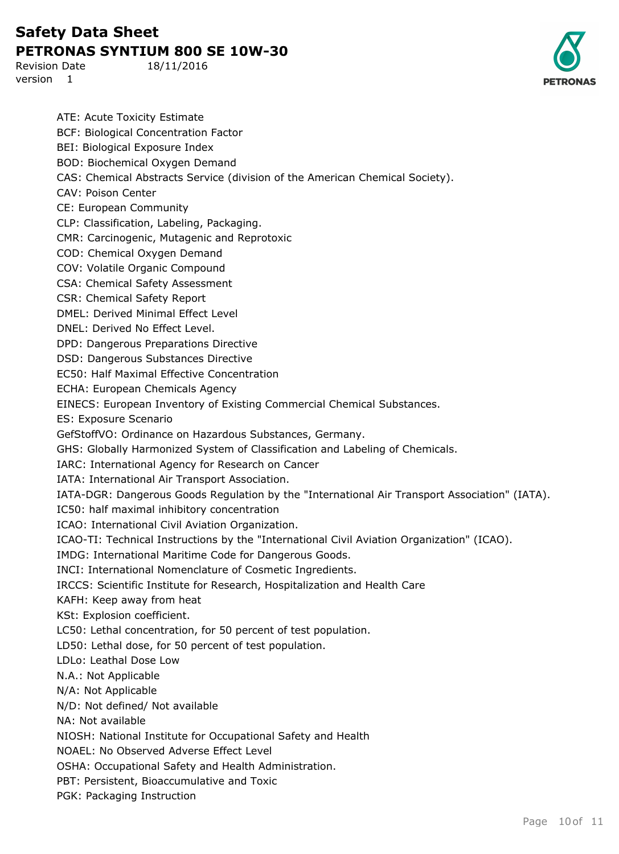Revision Date 18/11/2016 version 1



ATE: Acute Toxicity Estimate BCF: Biological Concentration Factor BEI: Biological Exposure Index BOD: Biochemical Oxygen Demand CAS: Chemical Abstracts Service (division of the American Chemical Society). CAV: Poison Center CE: European Community CLP: Classification, Labeling, Packaging. CMR: Carcinogenic, Mutagenic and Reprotoxic COD: Chemical Oxygen Demand COV: Volatile Organic Compound CSA: Chemical Safety Assessment CSR: Chemical Safety Report DMEL: Derived Minimal Effect Level DNEL: Derived No Effect Level. DPD: Dangerous Preparations Directive DSD: Dangerous Substances Directive EC50: Half Maximal Effective Concentration ECHA: European Chemicals Agency EINECS: European Inventory of Existing Commercial Chemical Substances. ES: Exposure Scenario GefStoffVO: Ordinance on Hazardous Substances, Germany. GHS: Globally Harmonized System of Classification and Labeling of Chemicals. IARC: International Agency for Research on Cancer IATA: International Air Transport Association. IATA-DGR: Dangerous Goods Regulation by the "International Air Transport Association" (IATA). IC50: half maximal inhibitory concentration ICAO: International Civil Aviation Organization. ICAO-TI: Technical Instructions by the "International Civil Aviation Organization" (ICAO). IMDG: International Maritime Code for Dangerous Goods. INCI: International Nomenclature of Cosmetic Ingredients. IRCCS: Scientific Institute for Research, Hospitalization and Health Care KAFH: Keep away from heat KSt: Explosion coefficient. LC50: Lethal concentration, for 50 percent of test population. LD50: Lethal dose, for 50 percent of test population. LDLo: Leathal Dose Low N.A.: Not Applicable N/A: Not Applicable N/D: Not defined/ Not available NA: Not available NIOSH: National Institute for Occupational Safety and Health NOAEL: No Observed Adverse Effect Level OSHA: Occupational Safety and Health Administration. PBT: Persistent, Bioaccumulative and Toxic PGK: Packaging Instruction